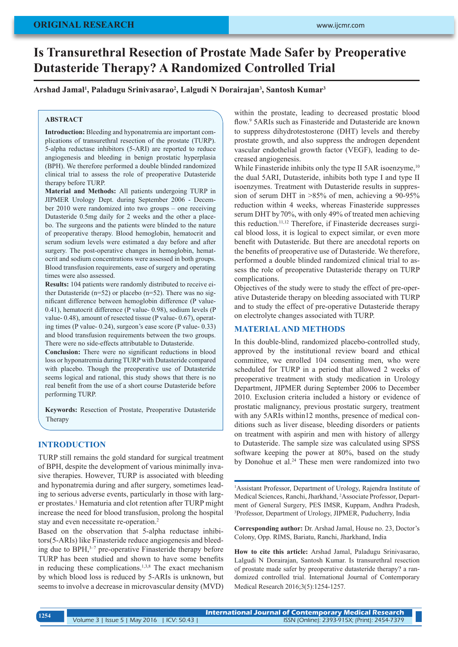# **Is Transurethral Resection of Prostate Made Safer by Preoperative Dutasteride Therapy? A Randomized Controlled Trial**

## **Arshad Jamal1 , Paladugu Srinivasarao2 , Lalgudi N Dorairajan3 , Santosh Kumar3**

### **ABSTRACT**

**Introduction:** Bleeding and hyponatremia are important complications of transurethral resection of the prostate (TURP). 5-alpha reductase inhibitors (5-ARI) are reported to reduce angiogenesis and bleeding in benign prostatic hyperplasia (BPH). We therefore performed a double blinded randomized clinical trial to assess the role of preoperative Dutasteride therapy before TURP.

**Material and Methods:** All patients undergoing TURP in JIPMER Urology Dept. during September 2006 - December 2010 were randomized into two groups – one receiving Dutasteride 0.5mg daily for 2 weeks and the other a placebo. The surgeons and the patients were blinded to the nature of preoperative therapy. Blood hemoglobin, hematocrit and serum sodium levels were estimated a day before and after surgery. The post-operative changes in hemoglobin, hematocrit and sodium concentrations were assessed in both groups. Blood transfusion requirements, ease of surgery and operating times were also assessed.

**Results:** 104 patients were randomly distributed to receive either Dutasteride ( $n=52$ ) or placebo ( $n=52$ ). There was no significant difference between hemoglobin difference (P value-0.41), hematocrit difference (P value- 0.98), sodium levels (P value- 0.48), amount of resected tissue (P value- 0.67), operating times (P value- 0.24), surgeon's ease score (P value- 0.33) and blood transfusion requirements between the two groups. There were no side-effects attributable to Dutasteride.

**Conclusion:** There were no significant reductions in blood loss or hyponatremia during TURP with Dutasteride compared with placebo. Though the preoperative use of Dutasteride seems logical and rational, this study shows that there is no real benefit from the use of a short course Dutasteride before performing TURP.

**Keywords:** Resection of Prostate, Preoperative Dutasteride Therapy

## **INTRODUCTION**

TURP still remains the gold standard for surgical treatment of BPH, despite the development of various minimally invasive therapies. However, TURP is associated with bleeding and hyponatremia during and after surgery, sometimes leading to serious adverse events, particularly in those with larger prostates.<sup>1</sup> Hematuria and clot retention after TURP might increase the need for blood transfusion, prolong the hospital stay and even necessitate re-operation.2

Based on the observation that 5-alpha reductase inhibitors(5-ARIs) like Finasteride reduce angiogenesis and bleeding due to  $BPH<sub>3</sub><sup>3–7</sup>$  pre-operative Finasteride therapy before TURP has been studied and shown to have some benefits in reducing these complications.1,3,8 The exact mechanism by which blood loss is reduced by 5-ARIs is unknown, but seems to involve a decrease in microvascular density (MVD) within the prostate, leading to decreased prostatic blood flow.<sup>9</sup> 5ARIs such as Finasteride and Dutasteride are known to suppress dihydrotestosterone (DHT) levels and thereby prostate growth, and also suppress the androgen dependent vascular endothelial growth factor (VEGF), leading to decreased angiogenesis.

While Finasteride inhibits only the type II 5AR isoenzyme.<sup>10</sup> the dual 5ARI, Dutasteride, inhibits both type I and type II isoenzymes. Treatment with Dutasteride results in suppression of serum DHT in >85% of men, achieving a 90-95% reduction within 4 weeks, whereas Finasteride suppresses serum DHT by 70%, with only 49% of treated men achieving this reduction.11,12 Therefore, if Finasteride decreases surgical blood loss, it is logical to expect similar, or even more benefit with Dutasteride. But there are anecdotal reports on the benefits of preoperative use of Dutasteride. We therefore, performed a double blinded randomized clinical trial to assess the role of preoperative Dutasteride therapy on TURP complications.

Objectives of the study were to study the effect of pre-operative Dutasteride therapy on bleeding associated with TURP and to study the effect of pre-operative Dutasteride therapy on electrolyte changes associated with TURP.

#### **MATERIAL AND METHODS**

In this double-blind, randomized placebo-controlled study, approved by the institutional review board and ethical committee, we enrolled 104 consenting men, who were scheduled for TURP in a period that allowed 2 weeks of preoperative treatment with study medication in Urology Department, JIPMER during September 2006 to December 2010. Exclusion criteria included a history or evidence of prostatic malignancy, previous prostatic surgery, treatment with any 5ARIs within12 months, presence of medical conditions such as liver disease, bleeding disorders or patients on treatment with aspirin and men with history of allergy to Dutasteride. The sample size was calculated using SPSS software keeping the power at 80%, based on the study by Donohue et al.<sup>24</sup> These men were randomized into two

1 Assistant Professor, Department of Urology, Rajendra Institute of Medical Sciences, Ranchi, Jharkhand, 2 Associate Professor, Department of General Surgery, PES IMSR, Kuppam, Andhra Pradesh, 3 Professor, Department of Urology, JIPMER, Puducherry, India

**Corresponding author:** Dr. Arshad Jamal, House no. 23, Doctor's Colony, Opp. RIMS, Bariatu, Ranchi, Jharkhand, India

**How to cite this article:** Arshad Jamal, Paladugu Srinivasarao, Lalgudi N Dorairajan, Santosh Kumar. Is transurethral resection of prostate made safer by preoperative dutasteride therapy? a randomized controlled trial. International Journal of Contemporary Medical Research 2016;3(5):1254-1257.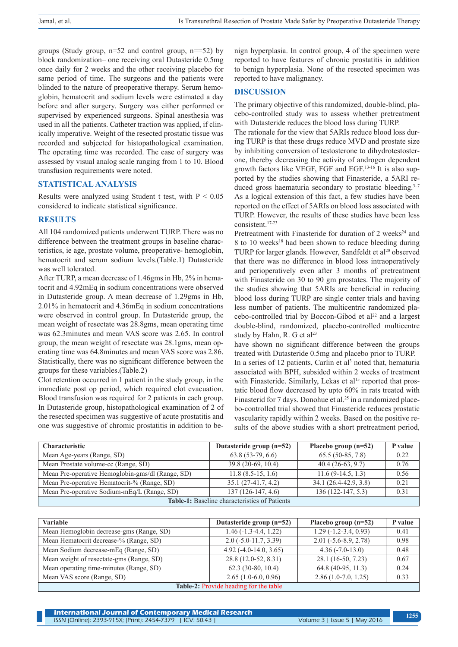groups (Study group,  $n=52$  and control group,  $n==52$ ) by block randomization– one receiving oral Dutasteride 0.5mg once daily for 2 weeks and the other receiving placebo for same period of time. The surgeons and the patients were blinded to the nature of preoperative therapy. Serum hemoglobin, hematocrit and sodium levels were estimated a day before and after surgery. Surgery was either performed or supervised by experienced surgeons. Spinal anesthesia was used in all the patients. Catheter traction was applied, if clinically imperative. Weight of the resected prostatic tissue was recorded and subjected for histopathological examination. The operating time was recorded. The ease of surgery was assessed by visual analog scale ranging from 1 to 10. Blood transfusion requirements were noted.

## **STATISTICAL ANALYSIS**

Results were analyzed using Student t test, with  $P < 0.05$ considered to indicate statistical significance.

### **RESULTS**

All 104 randomized patients underwent TURP. There was no difference between the treatment groups in baseline characteristics, ie age, prostate volume, preoperative- hemoglobin, hematocrit and serum sodium levels.(Table.1) Dutasteride was well tolerated.

After TURP, a mean decrease of 1.46gms in Hb, 2% in hematocrit and 4.92mEq in sodium concentrations were observed in Dutasteride group. A mean decrease of 1.29gms in Hb, 2.01% in hematocrit and 4.36mEq in sodium concentrations were observed in control group. In Dutasteride group, the mean weight of resectate was 28.8gms, mean operating time was 62.3minutes and mean VAS score was 2.65. In control group, the mean weight of resectate was 28.1gms, mean operating time was 64.8minutes and mean VAS score was 2.86. Statistically, there was no significant difference between the groups for these variables.(Table.2)

Clot retention occurred in 1 patient in the study group, in the immediate post op period, which required clot evacuation. Blood transfusion was required for 2 patients in each group. In Dutasteride group, histopathological examination of 2 of the resected specimen was suggestive of acute prostatitis and one was suggestive of chromic prostatitis in addition to benign hyperplasia. In control group, 4 of the specimen were reported to have features of chronic prostatitis in addition to benign hyperplasia. None of the resected specimen was reported to have malignancy.

### **DISCUSSION**

The primary objective of this randomized, double-blind, placebo-controlled study was to assess whether pretreatment with Dutasteride reduces the blood loss during TURP.

The rationale for the view that 5ARIs reduce blood loss during TURP is that these drugs reduce MVD and prostate size by inhibiting conversion of testosterone to dihydrotestosterone, thereby decreasing the activity of androgen dependent growth factors like VEGF, FGF and EGF.13-16 It is also supported by the studies showing that Finasteride, a 5ARI reduced gross haematuria secondary to prostatic bleeding.<sup>3-7</sup> As a logical extension of this fact, a few studies have been reported on the effect of 5ARIs on blood loss associated with TURP. However, the results of these studies have been less consistent.17-23

Pretreatment with Finasteride for duration of 2 weeks<sup>24</sup> and 8 to 10 weeks<sup>18</sup> had been shown to reduce bleeding during TURP for larger glands. However, Sandfeldt et al<sup>20</sup> observed that there was no difference in blood loss intraoperatively and perioperatively even after 3 months of pretreatment with Finasteride on 30 to 90 gm prostates. The majority of the studies showing that 5ARIs are beneficial in reducing blood loss during TURP are single center trials and having less number of patients. The multicentric randomized placebo-controlled trial by Boccon-Gibod et al<sup>22</sup> and a largest double-blind, randomized, placebo-controlled multicentre study by Hahn, R. G et al<sup>23</sup>

have shown no significant difference between the groups treated with Dutasteride 0.5mg and placebo prior to TURP.

In a series of 12 patients, Carlin et al<sup>3</sup> noted that, hematuria associated with BPH, subsided within 2 weeks of treatment with Finasteride. Similarly, Lekas et al<sup>15</sup> reported that prostatic blood flow decreased by upto 60% in rats treated with Finasterid for 7 days. Donohue et al.<sup>25</sup> in a randomized placebo-controlled trial showed that Finasteride reduces prostatic vascularity rapidly within 2 weeks. Based on the positive results of the above studies with a short pretreatment period,

| <b>Characteristic</b>                                | Dutasteride group $(n=52)$ | Placebo group $(n=52)$ | <b>P</b> value |  |
|------------------------------------------------------|----------------------------|------------------------|----------------|--|
| Mean Age-years (Range, SD)                           | $63.8(53-79, 6.6)$         | $65.5(50-85, 7.8)$     | 0.22           |  |
| Mean Prostate volume-cc (Range, SD)                  | $39.8(20-69, 10.4)$        | $40.4(26-63, 9.7)$     | 0.76           |  |
| Mean Pre-operative Hemoglobin-gms/dl (Range, SD)     | $11.8(8.5-15, 1.6)$        | $11.6(9-14.5, 1.3)$    | 0.56           |  |
| Mean Pre-operative Hematocrit-% (Range, SD)          | $35.1(27-41.7, 4.2)$       | 34.1 (26.4-42.9, 3.8)  | 0.21           |  |
| Mean Pre-operative Sodium-mEq/L (Range, SD)          | $137(126-147, 4.6)$        | $136(122-147, 5.3)$    | 0.31           |  |
| <b>Table-1:</b> Baseline characteristics of Patients |                            |                        |                |  |

| Variable                                 | Dutasteride group $(n=52)$ | Placebo group $(n=52)$ | P value |  |
|------------------------------------------|----------------------------|------------------------|---------|--|
| Mean Hemoglobin decrease-gms (Range, SD) | $1.46(-1.3-4.4, 1.22)$     | $1.29(-1.2-3.4, 0.93)$ | 0.41    |  |
| Mean Hematocrit decrease-% (Range, SD)   | $2.0$ (-5.0-11.7, 3.39)    | $2.01(-5.6-8.9, 2.78)$ | 0.98    |  |
| Mean Sodium decrease-mEq (Range, SD)     | $4.92(-4.0-14.0, 3.65)$    | $4.36(-7.0-13.0)$      | 0.48    |  |
| Mean weight of resectate-gms (Range, SD) | 28.8 (12.0-52, 8.31)       | 28.1 (16-50, 7.23)     | 0.67    |  |
| Mean operating time-minutes (Range, SD)  | $62.3(30-80, 10.4)$        | 64.8 (40-95, 11.3)     | 0.24    |  |
| Mean VAS score (Range, SD)               | $2.65(1.0-6.0, 0.96)$      | $2.86(1.0-7.0, 1.25)$  | 0.33    |  |
| Table-2: Provide heading for the table   |                            |                        |         |  |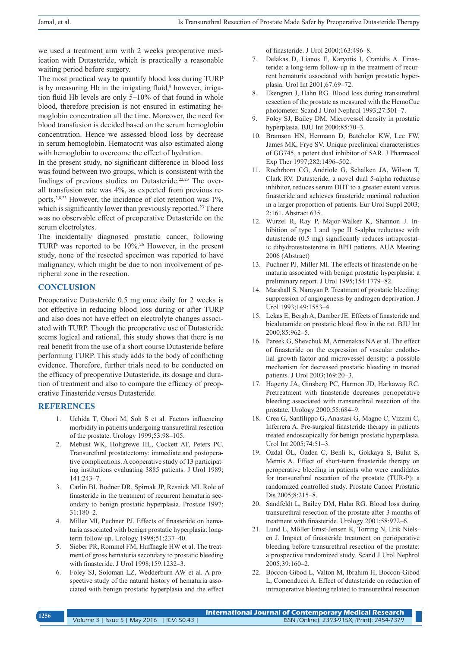we used a treatment arm with 2 weeks preoperative medication with Dutasteride, which is practically a reasonable waiting period before surgery.

The most practical way to quantify blood loss during TURP is by measuring Hb in the irrigating fluid, $<sup>8</sup>$  however, irriga-</sup> tion fluid Hb levels are only 5–10% of that found in whole blood, therefore precision is not ensured in estimating hemoglobin concentration all the time. Moreover, the need for blood transfusion is decided based on the serum hemoglobin concentration. Hence we assessed blood loss by decrease in serum hemoglobin. Hematocrit was also estimated along with hemoglobin to overcome the effect of hydration.

In the present study, no significant difference in blood loss was found between two groups, which is consistent with the findings of previous studies on Dutasteride.<sup>22,23</sup> The overall transfusion rate was 4%, as expected from previous reports.<sup>2,8,23</sup> However, the incidence of clot retention was  $1\%$ , which is significantly lower than previously reported.<sup>23</sup> There was no observable effect of preoperative Dutasteride on the serum electrolytes.

The incidentally diagnosed prostatic cancer, following TURP was reported to be 10%.26 However, in the present study, none of the resected specimen was reported to have malignancy, which might be due to non involvement of peripheral zone in the resection.

# **CONCLUSION**

Preoperative Dutasteride 0.5 mg once daily for 2 weeks is not effective in reducing blood loss during or after TURP and also does not have effect on electrolyte changes associated with TURP. Though the preoperative use of Dutasteride seems logical and rational, this study shows that there is no real benefit from the use of a short course Dutasteride before performing TURP. This study adds to the body of conflicting evidence. Therefore, further trials need to be conducted on the efficacy of preoperative Dutasteride, its dosage and duration of treatment and also to compare the efficacy of preoperative Finasteride versus Dutasteride.

# **REFERENCES**

- 1. Uchida T, Ohori M, Soh S et al. Factors influencing morbidity in patients undergoing transurethral resection of the prostate. Urology 1999;53:98–105.
- 2. Mebust WK, Holtgrewe HL, Cockett AT, Peters PC. Transurethral prostatectomy: immediate and postoperative complications. A cooperative study of 13 participating institutions evaluating 3885 patients. J Urol 1989; 141:243–7.
- 3. Carlin BI, Bodner DR, Spirnak JP, Resnick MI. Role of finasteride in the treatment of recurrent hematuria secondary to benign prostatic hyperplasia. Prostate 1997; 31:180–2.
- Miller MI, Puchner PJ. Effects of finasteride on hematuria associated with benign prostatic hyperplasia: longterm follow-up. Urology 1998;51:237–40.
- 5. Sieber PR, Rommel FM, Huffnagle HW et al. The treatment of gross hematuria secondary to prostatic bleeding with finasteride. J Urol 1998;159:1232–3.
- 6. Foley SJ, Soloman LZ, Wedderburn AW et al. A prospective study of the natural history of hematuria associated with benign prostatic hyperplasia and the effect

of finasteride. J Urol 2000;163:496–8.

- 7. Delakas D, Lianos E, Karyotis I, Cranidis A. Finasteride: a long-term follow-up in the treatment of recurrent hematuria associated with benign prostatic hyperplasia. Urol Int 2001;67:69–72.
- 8. Ekengren J, Hahn RG. Blood loss during transurethral resection of the prostate as measured with the HemoCue photometer. Scand J Urol Nephrol 1993;27:501–7.
- 9. Foley SJ, Bailey DM. Microvessel density in prostatic hyperplasia. BJU Int 2000;85:70–3.
- 10. Bramson HN, Hermann D, Batchelor KW, Lee FW, James MK, Frye SV. Unique preclinical characteristics of GG745, a potent dual inhibitor of 5AR. J Pharmacol Exp Ther 1997;282:1496–502.
- 11. Roehrborn CG, Andriole G, Schalken JA, Wilson T, Clark RV. Dutasteride, a novel dual 5-alpha reductase inhibitor, reduces serum DHT to a greater extent versus finasteride and achieves finasteride maximal reduction in a larger proportion of patients. Eur Urol Suppl 2003; 2:161, Abstract 635.
- 12. Wurzel R, Ray P, Major-Walker K, Shannon J. Inhibition of type I and type II 5-alpha reductase with dutasteride (0.5 mg) significantly reduces intraprostatic dihydrotestosterone in BPH patients. AUA Meeting 2006 (Abstract)
- 13. Puchner PJ, Miller MI. The effects of finasteride on hematuria associated with benign prostatic hyperplasia: a preliminary report. J Urol 1995;154:1779–82.
- 14. Marshall S, Narayan P. Treatment of prostatic bleeding: suppression of angiogenesis by androgen deprivation. J Urol 1993;149:1553–4.
- 15. Lekas E, Bergh A, Damber JE. Effects of finasteride and bicalutamide on prostatic blood flow in the rat. BJU Int 2000;85:962–5.
- 16. Pareek G, Shevchuk M, Armenakas NA et al. The effect of finasteride on the expression of vascular endothelial growth factor and microvessel density: a possible mechanism for decreased prostatic bleeding in treated patients. J Urol 2003;169:20–3.
- 17. Hagerty JA, Ginsberg PC, Harmon JD, Harkaway RC. Pretreatment with finasteride decreases perioperative bleeding associated with transurethral resection of the prostate. Urology 2000;55:684–9.
- 18. Crea G, Sanfilippo G, Anastasi G, Magno C, Vizzini C, Inferrera A. Pre-surgical finasteride therapy in patients treated endoscopically for benign prostatic hyperplasia. Urol Int 2005;74:51–3.
- 19. Özdal ÖL, Özden C, Benli K, Gokkaya S, Bulut S, Memis A. Effect of short-term finasteride therapy on peroperative bleeding in patients who were candidates for transurethral resection of the prostate (TUR-P): a randomized controlled study. Prostate Cancer Prostatic Dis 2005;8:215–8.
- 20. Sandfeldt L, Bailey DM, Hahn RG. Blood loss during transurethral resection of the prostate after 3 months of treatment with finasteride. Urology 2001;58:972–6.
- 21. Lund L, Möller Ernst-Jensen K, Torring N, Erik Nielsen J. Impact of finasteride treatment on perioperative bleeding before transurethral resection of the prostate: a prospective randomized study. Scand J Urol Nephrol 2005;39:160–2.
- 22. Boccon-Gibod L, Valton M, Ibrahim H, Boccon-Gibod L, Comenducci A. Effect of dutasteride on reduction of intraoperative bleeding related to transurethral resection